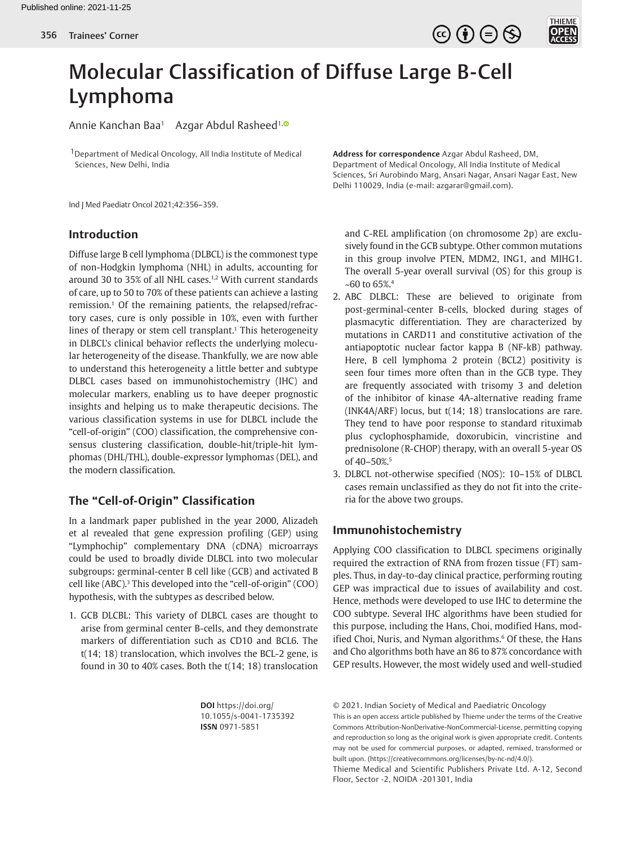

# Molecular Classification of Diffuse Large B-Cell Lymphoma

Annie Kanchan Baa<sup>1</sup> Azgar Abdul Rasheed<sup>1[,](http://orcid.org/0000-0003-2217-5699)0</sup>

1Department of Medical Oncology, All India Institute of Medical Sciences, New Delhi, India

Ind J Med Paediatr Oncol 2021;42:356–359.

# **Introduction**

Diffuse large B cell lymphoma (DLBCL) is the commonest type of non-Hodgkin lymphoma (NHL) in adults, accounting for around 30 to 35% of all NHL cases.1,2 With current standards of care, up to 50 to 70% of these patients can achieve a lasting remission.<sup>1</sup> Of the remaining patients, the relapsed/refractory cases, cure is only possible in 10%, even with further lines of therapy or stem cell transplant.<sup>1</sup> This heterogeneity in DLBCL's clinical behavior reflects the underlying molecular heterogeneity of the disease. Thankfully, we are now able to understand this heterogeneity a little better and subtype DLBCL cases based on immunohistochemistry (IHC) and molecular markers, enabling us to have deeper prognostic insights and helping us to make therapeutic decisions. The various classification systems in use for DLBCL include the "cell-of-origin" (COO) classification, the comprehensive consensus clustering classification, double-hit/triple-hit lymphomas (DHL/THL), double-expressor lymphomas (DEL), and the modern classification.

## **The "Cell-of-Origin" Classification**

In a landmark paper published in the year 2000, Alizadeh et al revealed that gene expression profiling (GEP) using "Lymphochip" complementary DNA (cDNA) microarrays could be used to broadly divide DLBCL into two molecular subgroups: germinal-center B cell like (GCB) and activated B cell like (ABC).3 This developed into the "cell-of-origin" (COO) hypothesis, with the subtypes as described below.

1. GCB DLCBL: This variety of DLBCL cases are thought to arise from germinal center B-cells, and they demonstrate markers of differentiation such as CD10 and BCL6. The t(14; 18) translocation, which involves the BCL-2 gene, is found in 30 to 40% cases. Both the t(14; 18) translocation

> **DOI** https://doi.org/ 10.1055/s-0041-1735392 **ISSN** 0971-5851

**Address for correspondence** Azgar Abdul Rasheed, DM, Department of Medical Oncology, All India Institute of Medical Sciences, Sri Aurobindo Marg, Ansari Nagar, Ansari Nagar East, New Delhi 110029, India (e-mail: azgarar@gmail.com).

and C-REL amplification (on chromosome 2p) are exclusively found in the GCB subtype. Other common mutations in this group involve PTEN, MDM2, ING1, and MIHG1. The overall 5-year overall survival (OS) for this group is  $~560$  to 65%.<sup>4</sup>

- 2. ABC DLBCL: These are believed to originate from post-germinal-center B-cells, blocked during stages of plasmacytic differentiation. They are characterized by mutations in CARD11 and constitutive activation of the antiapoptotic nuclear factor kappa B (NF-kB) pathway. Here, B cell lymphoma 2 protein (BCL2) positivity is seen four times more often than in the GCB type. They are frequently associated with trisomy 3 and deletion of the inhibitor of kinase 4A-alternative reading frame (INK4A/ARF) locus, but t(14; 18) translocations are rare. They tend to have poor response to standard rituximab plus cyclophosphamide, doxorubicin, vincristine and prednisolone (R-CHOP) therapy, with an overall 5-year OS of 40-50%.<sup>5</sup>
- 3. DLBCL not-otherwise specified (NOS): 10–15% of DLBCL cases remain unclassified as they do not fit into the criteria for the above two groups.

# **Immunohistochemistry**

Applying COO classification to DLBCL specimens originally required the extraction of RNA from frozen tissue (FT) samples. Thus, in day-to-day clinical practice, performing routing GEP was impractical due to issues of availability and cost. Hence, methods were developed to use IHC to determine the COO subtype. Several IHC algorithms have been studied for this purpose, including the Hans, Choi, modified Hans, modified Choi, Nuris, and Nyman algorithms.<sup>6</sup> Of these, the Hans and Cho algorithms both have an 86 to 87% concordance with GEP results. However, the most widely used and well-studied

© 2021. Indian Society of Medical and Paediatric Oncology This is an open access article published by Thieme under the terms of the Creative Commons Attribution-NonDerivative-NonCommercial-License, permitting copying and reproduction so long as the original work is given appropriate credit. Contents may not be used for commercial purposes, or adapted, remixed, transformed or built upon. (https://creativecommons.org/licenses/by-nc-nd/4.0/).

Thieme Medical and Scientific Publishers Private Ltd. A-12, Second Floor, Sector -2, NOIDA -201301, India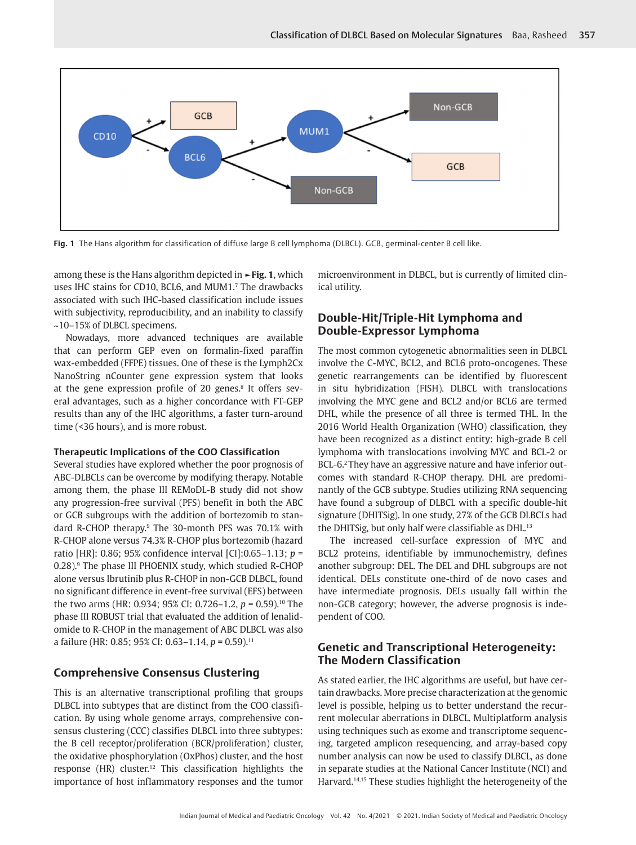

**Fig. 1** The Hans algorithm for classification of diffuse large B cell lymphoma (DLBCL). GCB, germinal-center B cell like.

among these is the Hans algorithm depicted in **►Fig. 1**, which uses IHC stains for CD10, BCL6, and MUM1.<sup>7</sup> The drawbacks associated with such IHC-based classification include issues with subjectivity, reproducibility, and an inability to classify ~10–15% of DLBCL specimens.

Nowadays, more advanced techniques are available that can perform GEP even on formalin-fixed paraffin wax-embedded (FFPE) tissues. One of these is the Lymph2Cx NanoString nCounter gene expression system that looks at the gene expression profile of 20 genes.<sup>8</sup> It offers several advantages, such as a higher concordance with FT-GEP results than any of the IHC algorithms, a faster turn-around time (<36 hours), and is more robust.

#### **Therapeutic Implications of the COO Classification**

Several studies have explored whether the poor prognosis of ABC-DLBCLs can be overcome by modifying therapy. Notable among them, the phase III REMoDL-B study did not show any progression-free survival (PFS) benefit in both the ABC or GCB subgroups with the addition of bortezomib to standard R-CHOP therapy.9 The 30-month PFS was 70.1% with R-CHOP alone versus 74.3% R-CHOP plus bortezomib (hazard ratio [HR]: 0.86; 95% confidence interval [CI]:0.65–1.13; *p* = 0.28).<sup>9</sup> The phase III PHOENIX study, which studied R-CHOP alone versus Ibrutinib plus R-CHOP in non-GCB DLBCL, found no significant difference in event-free survival (EFS) between the two arms (HR: 0.934; 95% CI: 0.726–1.2, *p* = 0.59).10 The phase III ROBUST trial that evaluated the addition of lenalidomide to R-CHOP in the management of ABC DLBCL was also a failure (HR: 0.85; 95% CI: 0.63–1.14, *p* = 0.59).11

### **Comprehensive Consensus Clustering**

This is an alternative transcriptional profiling that groups DLBCL into subtypes that are distinct from the COO classification. By using whole genome arrays, comprehensive consensus clustering (CCC) classifies DLBCL into three subtypes: the B cell receptor/proliferation (BCR/proliferation) cluster, the oxidative phosphorylation (OxPhos) cluster, and the host response (HR) cluster.12 This classification highlights the importance of host inflammatory responses and the tumor

microenvironment in DLBCL, but is currently of limited clinical utility.

## **Double-Hit/Triple-Hit Lymphoma and Double-Expressor Lymphoma**

The most common cytogenetic abnormalities seen in DLBCL involve the C-MYC, BCL2, and BCL6 proto-oncogenes. These genetic rearrangements can be identified by fluorescent in situ hybridization (FISH). DLBCL with translocations involving the MYC gene and BCL2 and/or BCL6 are termed DHL, while the presence of all three is termed THL. In the 2016 World Health Organization (WHO) classification, they have been recognized as a distinct entity: high-grade B cell lymphoma with translocations involving MYC and BCL-2 or BCL-6.<sup>2</sup> They have an aggressive nature and have inferior outcomes with standard R-CHOP therapy. DHL are predominantly of the GCB subtype. Studies utilizing RNA sequencing have found a subgroup of DLBCL with a specific double-hit signature (DHITSig). In one study, 27% of the GCB DLBCLs had the DHITSig, but only half were classifiable as DHL.<sup>13</sup>

The increased cell-surface expression of MYC and BCL2 proteins, identifiable by immunochemistry, defines another subgroup: DEL. The DEL and DHL subgroups are not identical. DELs constitute one-third of de novo cases and have intermediate prognosis. DELs usually fall within the non-GCB category; however, the adverse prognosis is independent of COO.

## **Genetic and Transcriptional Heterogeneity: The Modern Classification**

As stated earlier, the IHC algorithms are useful, but have certain drawbacks. More precise characterization at the genomic level is possible, helping us to better understand the recurrent molecular aberrations in DLBCL. Multiplatform analysis using techniques such as exome and transcriptome sequencing, targeted amplicon resequencing, and array-based copy number analysis can now be used to classify DLBCL, as done in separate studies at the National Cancer Institute (NCI) and Harvard.14,15 These studies highlight the heterogeneity of the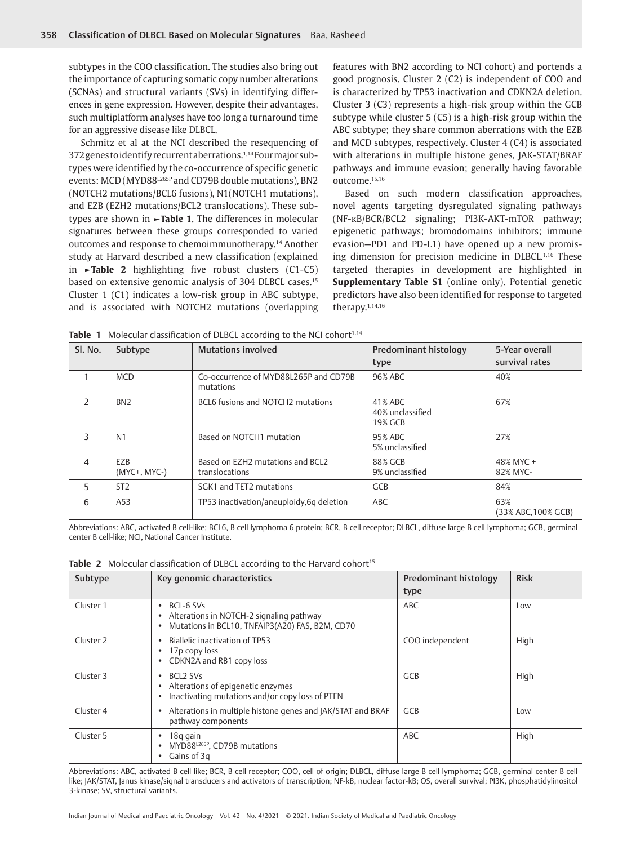subtypes in the COO classification. The studies also bring out the importance of capturing somatic copy number alterations (SCNAs) and structural variants (SVs) in identifying differences in gene expression. However, despite their advantages, such multiplatform analyses have too long a turnaround time for an aggressive disease like DLBCL.

Schmitz et al at the NCI described the resequencing of 372 genes to identify recurrent aberrations.1,14 Four major subtypes were identified by the co-occurrence of specific genetic events: MCD (MYD88L265P and CD79B double mutations), BN2 (NOTCH2 mutations/BCL6 fusions), N1(NOTCH1 mutations), and EZB (EZH2 mutations/BCL2 translocations). These subtypes are shown in **►Table 1**. The differences in molecular signatures between these groups corresponded to varied outcomes and response to chemoimmunotherapy.14 Another study at Harvard described a new classification (explained in **►Table 2** highlighting five robust clusters (C1-C5) based on extensive genomic analysis of 304 DLBCL cases.15 Cluster 1 (C1) indicates a low-risk group in ABC subtype, and is associated with NOTCH2 mutations (overlapping features with BN2 according to NCI cohort) and portends a good prognosis. Cluster 2 (C2) is independent of COO and is characterized by TP53 inactivation and CDKN2A deletion. Cluster 3 (C3) represents a high-risk group within the GCB subtype while cluster 5 (C5) is a high-risk group within the ABC subtype; they share common aberrations with the EZB and MCD subtypes, respectively. Cluster 4 (C4) is associated with alterations in multiple histone genes, JAK-STAT/BRAF pathways and immune evasion; generally having favorable outcome.15,16

Based on such modern classification approaches, novel agents targeting dysregulated signaling pathways (NF-κB/BCR/BCL2 signaling; PI3K-AKT-mTOR pathway; epigenetic pathways; bromodomains inhibitors; immune evasion—PD1 and PD-L1) have opened up a new promising dimension for precision medicine in DLBCL.1,16 These targeted therapies in development are highlighted in **Supplementary Table S1** (online only). Potential genetic predictors have also been identified for response to targeted therapy.1,14,16

| Sl. No.        | Subtype                  | <b>Mutations involved</b>                          | Predominant histology<br>type          | 5-Year overall<br>survival rates |
|----------------|--------------------------|----------------------------------------------------|----------------------------------------|----------------------------------|
|                | <b>MCD</b>               | Co-occurrence of MYD88L265P and CD79B<br>mutations | 96% ABC                                | 40%                              |
| $\mathcal{P}$  | BN <sub>2</sub>          | BCL6 fusions and NOTCH2 mutations                  | 41% ABC<br>40% unclassified<br>19% GCB | 67%                              |
| 3              | N <sub>1</sub>           | Based on NOTCH1 mutation                           | 95% ABC<br>5% unclassified             | 27%                              |
| $\overline{4}$ | EZB<br>$(MYC+$ , $MYC-)$ | Based on EZH2 mutations and BCL2<br>translocations | 88% GCB<br>9% unclassified             | 48% MYC +<br>82% MYC-            |
| 5              | ST <sub>2</sub>          | SGK1 and TET2 mutations                            | <b>GCB</b>                             | 84%                              |
| 6              | A53                      | TP53 inactivation/aneuploidy,6q deletion           | ABC                                    | 63%<br>(33% ABC, 100% GCB)       |

Table 1 Molecular classification of DLBCL according to the NCI cohort<sup>1,14</sup>

Abbreviations: ABC, activated B cell-like; BCL6, B cell lymphoma 6 protein; BCR, B cell receptor; DLBCL, diffuse large B cell lymphoma; GCB, germinal center B cell-like; NCI, National Cancer Institute.

|  |  |  |  |  |  |  |  |  |  |  |  | <b>Table 2</b> Molecular classification of DLBCL according to the Harvard cohort <sup>15</sup> |  |  |  |
|--|--|--|--|--|--|--|--|--|--|--|--|------------------------------------------------------------------------------------------------|--|--|--|
|--|--|--|--|--|--|--|--|--|--|--|--|------------------------------------------------------------------------------------------------|--|--|--|

| Subtype              | Key genomic characteristics                                                                                                             | Predominant histology<br>type | <b>Risk</b> |
|----------------------|-----------------------------------------------------------------------------------------------------------------------------------------|-------------------------------|-------------|
| Cluster 1            | BCL-6 SVs<br>٠<br>Alterations in NOTCH-2 signaling pathway<br>٠<br>Mutations in BCL10, TNFAIP3(A20) FAS, B2M, CD70<br>٠                 | ABC                           | Low         |
| Cluster <sub>2</sub> | <b>Biallelic inactivation of TP53</b><br>٠<br>17 <sub>p</sub> copy loss<br>٠<br>CDKN2A and RB1 copy loss<br>٠                           | COO independent               | High        |
| Cluster 3            | BCL <sub>2</sub> SV <sub>s</sub><br>٠<br>Alterations of epigenetic enzymes<br>٠<br>Inactivating mutations and/or copy loss of PTEN<br>٠ | <b>GCB</b>                    | High        |
| Cluster 4            | Alterations in multiple histone genes and JAK/STAT and BRAF<br>٠<br>pathway components                                                  | <b>GCB</b>                    | Low         |
| Cluster 5            | 18q qain<br>٠<br>MYD88L265P, CD79B mutations<br>٠<br>Gains of 3q<br>٠                                                                   | ABC                           | High        |

Abbreviations: ABC, activated B cell like; BCR, B cell receptor; COO, cell of origin; DLBCL, diffuse large B cell lymphoma; GCB, germinal center B cell like; JAK/STAT, Janus kinase/signal transducers and activators of transcription; NF-kB, nuclear factor-kB; OS, overall survival; PI3K, phosphatidylinositol 3-kinase; SV, structural variants.